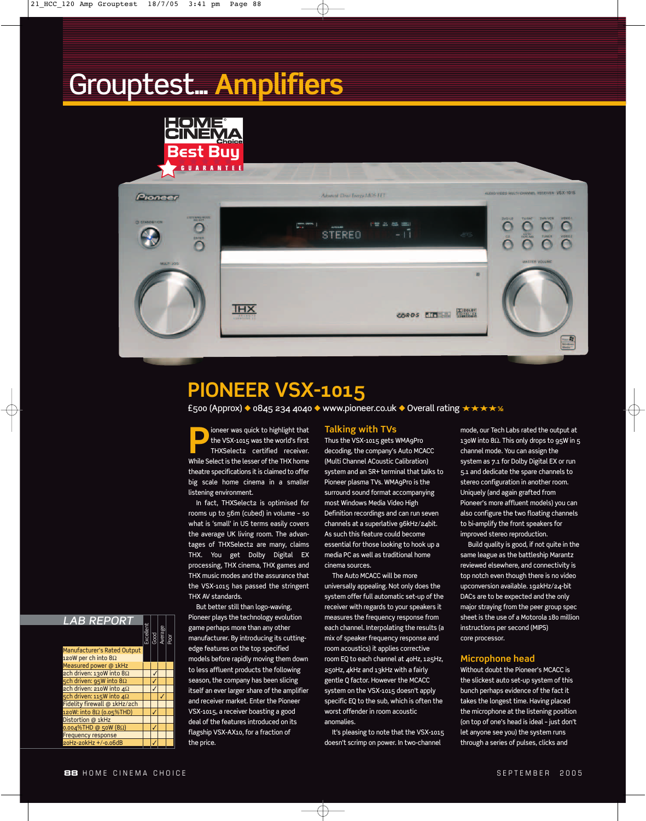## Grouptest... **Amplifiers**





### **PIONEER VSX-1015**

£500 (Approx) ◆ 0845 234 4040 ◆ www.pioneer.co.uk ◆ Overall rating ★★★★**1⁄2**

**Phioneer was quick to highlight that**<br>the VSX-1015 was the world's first<br>THXSelect2 certified receiver. the VSX-1015 was the world's first THXSelect2 certified receiver. While Select is the lesser of the THX home theatre specifications it is claimed to offer big scale home cinema in a smaller listening environment.

In fact, THXSelect2 is optimised for rooms up to 56m (cubed) in volume – so what is 'small' in US terms easily covers the average UK living room. The advantages of THXSelect2 are many, claims THX. You get Dolby Digital EX processing, THX cinema, THX games and THX music modes and the assurance that the VSX-1015 has passed the stringent THX AV standards.

But better still than logo-waving, Pioneer plays the technology evolution game perhaps more than any other manufacturer. By introducing its cuttingedge features on the top specified models before rapidly moving them down to less affluent products the following season, the company has been slicing itself an ever larger share of the amplifier and receiver market. Enter the Pioneer VSX-1015, a receiver boasting a good deal of the features introduced on its flagship VSX-AX10, for a fraction of the price.

#### **Talking with TVs**

Thus the VSX-1015 gets WMA9Pro decoding, the company's Auto MCACC (Multi Channel ACoustic Calibration) system and an SR+ terminal that talks to Pioneer plasma TVs. WMA9Pro is the surround sound format accompanying most Windows Media Video High Definition recordings and can run seven channels at a superlative g6kHz/24bit. As such this feature could become essential for those looking to hook up a media PC as well as traditional home cinema sources.

The Auto MCACC will be more universally appealing. Not only does the system offer full automatic set-up of the receiver with regards to your speakers it measures the frequency response from each channel. Interpolating the results (a mix of speaker frequency response and room acoustics) it applies corrective room EQ to each channel at 40Hz, 125Hz, 250Hz, 4kHz and 13kHz with a fairly gentle Q factor. However the MCACC system on the VSX-1015 doesn't apply specific EQ to the sub, which is often the worst offender in room acoustic anomalies.

It's pleasing to note that the VSX-1015 doesn't scrimp on power. In two-channel

 $\overline{\oplus}$ 

mode, our Tech Labs rated the output at 130W into 8Ω. This only drops to 95W in 5 channel mode. You can assign the system as 7.1 for Dolby Digital EX or run 5.1 and dedicate the spare channels to stereo configuration in another room. Uniquely (and again grafted from Pioneer's more affluent models) you can also configure the two floating channels to bi-amplify the front speakers for improved stereo reproduction.

Build quality is good, if not quite in the same league as the battleship Marantz reviewed elsewhere, and connectivity is top notch even though there is no video upconversion available. 192kHz/24-bit DACs are to be expected and the only major straying from the peer group spec sheet is the use of a Motorola 180 million instructions per second (MIPS) core processor.

#### **Microphone head**

Without doubt the Pioneer's MCACC is the slickest auto set-up system of this bunch perhaps evidence of the fact it takes the longest time. Having placed the microphone at the listening position (on top of one's head is ideal – just don't let anyone see you) the system runs through a series of pulses, clicks and

### *LAB REPORT*

|                                   |  | Excellent<br>Good<br>Average | Poor |
|-----------------------------------|--|------------------------------|------|
| Manufacturer's Rated Output       |  |                              |      |
| 120W per ch into $8\Omega$        |  |                              |      |
| Measured power @ 1kHz             |  |                              |      |
| ach driven: 130W into $8\Omega$   |  |                              |      |
| 5ch driven: 95W into 8Ω           |  |                              |      |
| ach driven: 210W into $4\Omega$   |  |                              |      |
| 5ch driven: 115W into $4\Omega$   |  |                              |      |
| Fidelity firewall @ 1kHz/2ch      |  |                              |      |
| 120W: into 8Ω (0.05%THD)          |  |                              |      |
| Distortion @ 1kHz                 |  |                              |      |
| $0.004\%$ THD @ 50W (8 $\Omega$ ) |  |                              |      |
| <b>Frequency response</b>         |  |                              |      |
| 20Hz-20kHz +/-0.06dB              |  |                              |      |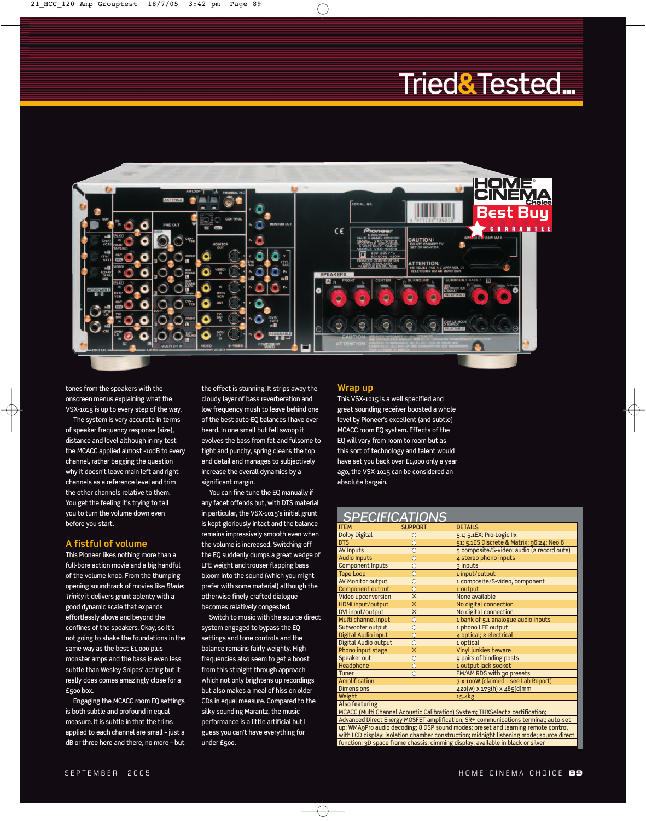## Tried**&**Tested...



tones from the speakers with the onscreen menus explaining what the VSX-1015 is up to every step of the way.

The system is very accurate in terms of speaker frequency response (size), distance and level although in my test the MCACC applied almost -10dB to every channel, rather begging the question why it doesn't leave main left and right channels as a reference level and trim the other channels relative to them. You get the feeling it's trying to tell you to turn the volume down even before you start.

#### **A fistful of volume**

This Pioneer likes nothing more than a full-bore action movie and a big handful of the volume knob. From the thumping opening soundtrack of movies like *Blade: Trinity* it delivers grunt aplenty with a good dynamic scale that expands effortlessly above and beyond the confines of the speakers. Okay, so it's not going to shake the foundations in the same way as the best £1,000 plus monster amps and the bass is even less subtle than Wesley Snipes' acting but it really does comes amazingly close for a £500 box.

Engaging the MCACC room EQ settings is both subtle and profound in equal measure. It is subtle in that the trims applied to each channel are small – just a dB or three here and there, no more – but

the effect is stunning. It strips away the cloudy layer of bass reverberation and low frequency mush to leave behind one of the best auto-EQ balances I have ever heard. In one small but fell swoop it evolves the bass from fat and fulsome to tight and punchy, spring cleans the top end detail and manages to subjectively increase the overall dynamics by a significant margin.

You can fine tune the EQ manually if any facet offends but, with DTS material in particular, the VSX-1015's initial grunt is kept gloriously intact and the balance remains impressively smooth even when the volume is increased. Switching off the EQ suddenly dumps a great wedge of LFE weight and trouser flapping bass bloom into the sound (which you might prefer with some material) although the otherwise finely crafted dialogue becomes relatively congested.

Switch to music with the source direct system engaged to bypass the EQ settings and tone controls and the balance remains fairly weighty. High frequencies also seem to get a boost from this straight through approach which not only brightens up recordings but also makes a meal of hiss on older CDs in equal measure. Compared to the silky sounding Marantz, the music performance is a little artificial but I guess you can't have everything for under £500.

Æ

#### **Wrap up**

This VSX-1015 is a well specified and great sounding receiver boosted a whole level by Pioneer's excellent (and subtle) MCACC room EQ system. Effects of the EQ will vary from room to room but as this sort of technology and talent would have set you back over £1,000 only a year ago, the VSX-1015 can be considered an absolute bargain.

#### *SPECIFICATIONS*

| ITEM                                                                                                                  | <b>SUPPORT</b>          | <b>DETAILS</b>                             |  |  |
|-----------------------------------------------------------------------------------------------------------------------|-------------------------|--------------------------------------------|--|--|
| <b>Dolby Digital</b>                                                                                                  |                         | 5.1; 5.1EX; Pro-Logic IIx                  |  |  |
| <b>DTS</b>                                                                                                            | C                       | 51; 5.1ES Discrete & Matrix; 96:24; Neo 6  |  |  |
| AV Inputs                                                                                                             | Ō                       | 5 composite/S-video; audio (2 record outs) |  |  |
| <b>Audio Inputs</b>                                                                                                   | Ċ                       | 4 stereo phono inputs                      |  |  |
| <b>Component Inputs</b>                                                                                               | Ō                       | 3 inputs                                   |  |  |
| <b>Tape Loop</b>                                                                                                      | $\overline{O}$          | 1 input/output                             |  |  |
| AV Monitor output                                                                                                     | Ō                       | 1 composite/S-video, component             |  |  |
| Component output                                                                                                      | Ō                       | 1 output                                   |  |  |
| Video upconversion                                                                                                    | $\times$                | None available                             |  |  |
| HDMI input/output                                                                                                     | $\overline{\mathsf{x}}$ | No digital connection                      |  |  |
| DVI input/output                                                                                                      | X                       | No digital connection                      |  |  |
| Multi channel input                                                                                                   | Ō                       | 1 bank of 5.1 analogue audio inputs        |  |  |
| Subwoofer output                                                                                                      | Ċ                       | 1 phono LFE output                         |  |  |
| Digital Audio input                                                                                                   | Ō                       | 4 optical; 2 electrical                    |  |  |
| Digital Audio output                                                                                                  | Ċ                       | 1 optical                                  |  |  |
| Phono input stage                                                                                                     | $\overline{\mathsf{x}}$ | Vinyl junkies beware                       |  |  |
| Speaker out                                                                                                           | Ō                       | 9 pairs of binding posts                   |  |  |
| Headphone                                                                                                             | С                       | 1 output jack socket                       |  |  |
| Tuner                                                                                                                 | Ω                       | FM/AM RDS with 30 presets                  |  |  |
| Amplification                                                                                                         |                         | 7 x 100W (claimed - see Lab Report)        |  |  |
| <b>Dimensions</b>                                                                                                     |                         | 420(w) x 173(h) x 465(d)mm                 |  |  |
| Weight                                                                                                                |                         | 15.4kg                                     |  |  |
| <b>Also featuring</b>                                                                                                 |                         |                                            |  |  |
| MCACC (Multi Channel Acoustic Calibration) System; THXSelect2 certification;                                          |                         |                                            |  |  |
| Advanced Direct Energy MOSFET amplification; SR+ communications terminal; auto-set                                    |                         |                                            |  |  |
| $\alpha$ <b>HAAA</b> (Best could be decorable to <b>O</b> DCB) a could be added to a contract the different contracts |                         |                                            |  |  |

1AgPro audio decoding; 8 DSP sound modes; preset and learning remote control with LCD display; isolation chamber construction; midnight listening mode; source direct function; 3D space frame chassis; dimming display; available in black or silver